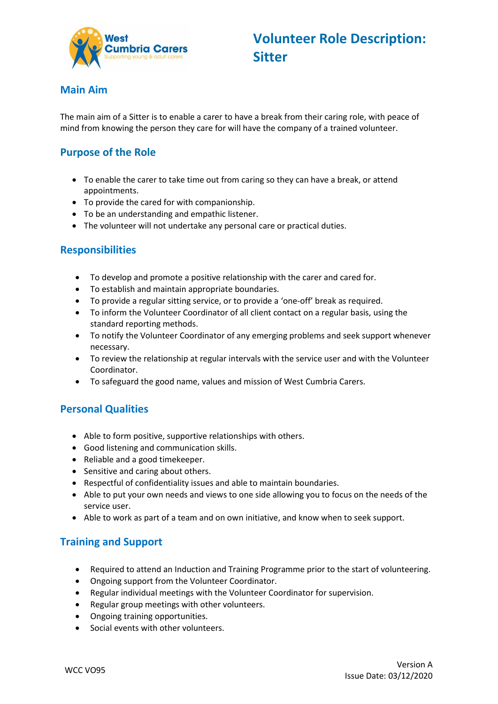

#### **Main Aim**

The main aim of a Sitter is to enable a carer to have a break from their caring role, with peace of mind from knowing the person they care for will have the company of a trained volunteer.

## **Purpose of the Role**

- To enable the carer to take time out from caring so they can have a break, or attend appointments.
- To provide the cared for with companionship.
- To be an understanding and empathic listener.
- The volunteer will not undertake any personal care or practical duties.

#### **Responsibilities**

- To develop and promote a positive relationship with the carer and cared for.
- To establish and maintain appropriate boundaries.
- To provide a regular sitting service, or to provide a 'one-off' break as required.
- To inform the Volunteer Coordinator of all client contact on a regular basis, using the standard reporting methods.
- To notify the Volunteer Coordinator of any emerging problems and seek support whenever necessary.
- To review the relationship at regular intervals with the service user and with the Volunteer Coordinator.
- To safeguard the good name, values and mission of West Cumbria Carers.

#### **Personal Qualities**

- Able to form positive, supportive relationships with others.
- Good listening and communication skills.
- Reliable and a good timekeeper.
- Sensitive and caring about others.
- Respectful of confidentiality issues and able to maintain boundaries.
- Able to put your own needs and views to one side allowing you to focus on the needs of the service user.
- Able to work as part of a team and on own initiative, and know when to seek support.

# **Training and Support**

- Required to attend an Induction and Training Programme prior to the start of volunteering.
- Ongoing support from the Volunteer Coordinator.
- Regular individual meetings with the Volunteer Coordinator for supervision.
- Regular group meetings with other volunteers.
- Ongoing training opportunities.
- Social events with other volunteers.